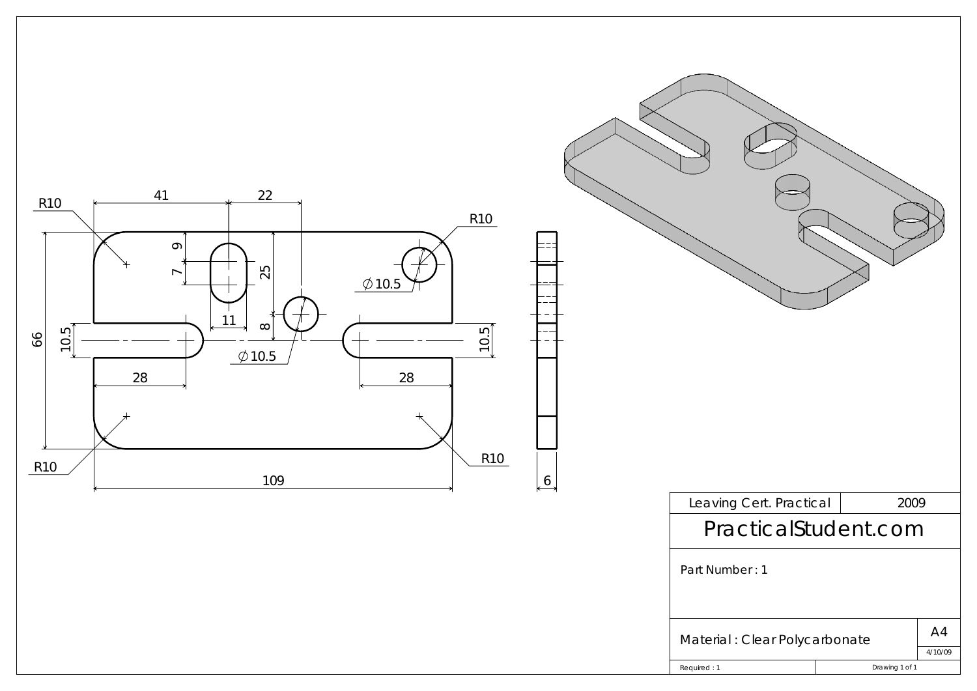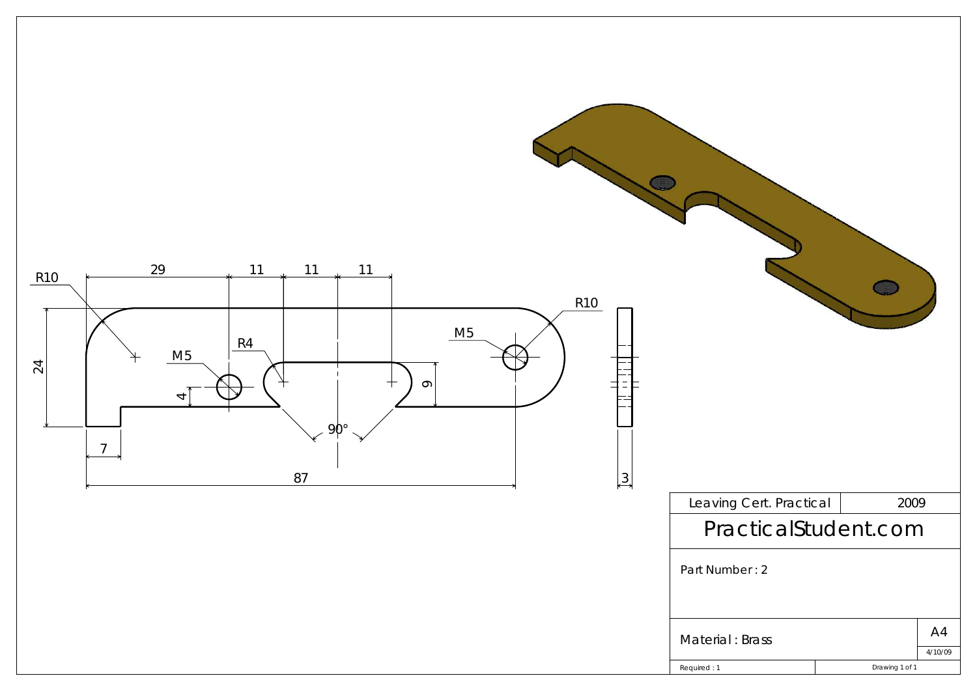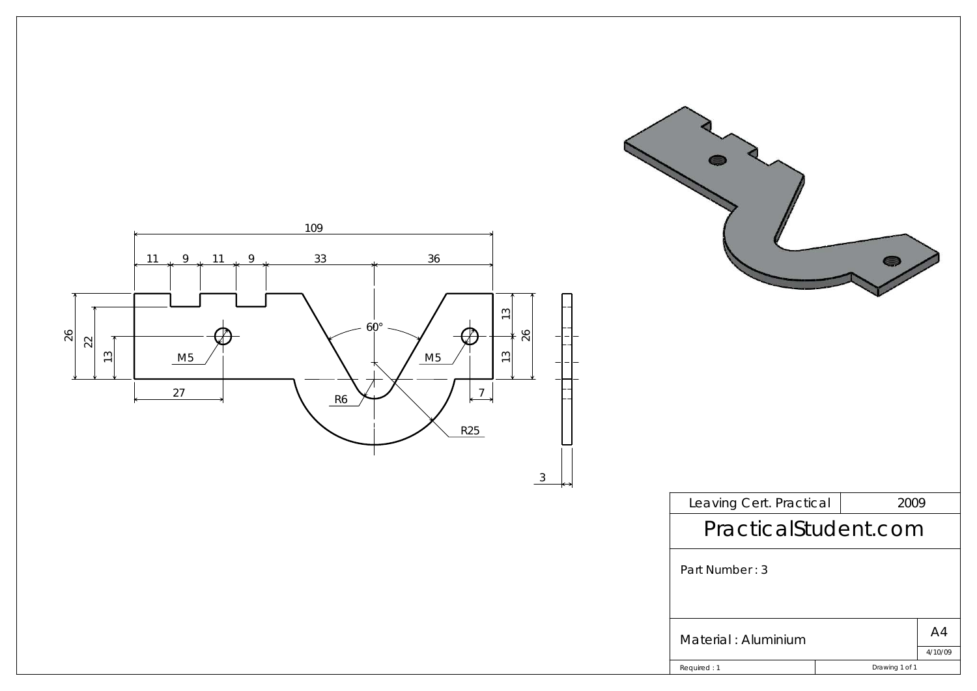| 109<br>33<br>36<br>11<br>9<br>11<br>9<br>$\frac{1}{2}$<br>$60^{\circ}$<br>26<br>$\frac{22}{2}$<br>M5<br>$13$<br>M5<br>$\frac{1}{2}$<br>27<br>$\overline{7}$<br>R6<br>R25<br>$\frac{3}{2}$ |                         |                |               |
|-------------------------------------------------------------------------------------------------------------------------------------------------------------------------------------------|-------------------------|----------------|---------------|
| ⊷                                                                                                                                                                                         | Leaving Cert. Practical | 2009           |               |
|                                                                                                                                                                                           | PracticalStudent.com    |                |               |
|                                                                                                                                                                                           | Part Number: 3          |                |               |
|                                                                                                                                                                                           | Material : Aluminium    |                | A4<br>4/10/09 |
|                                                                                                                                                                                           | Required: 1             | Drawing 1 of 1 |               |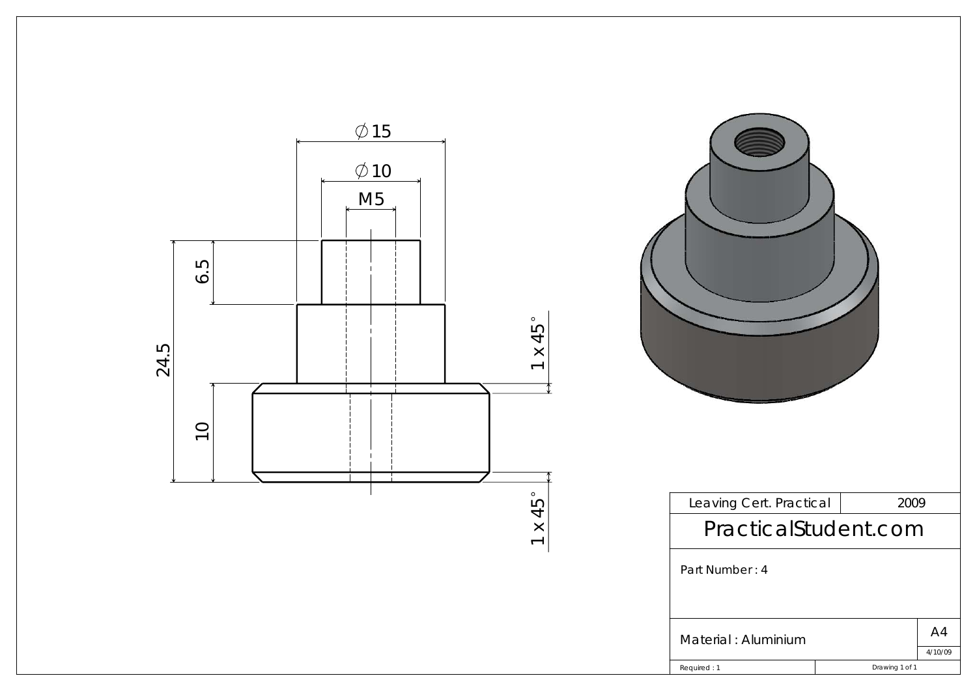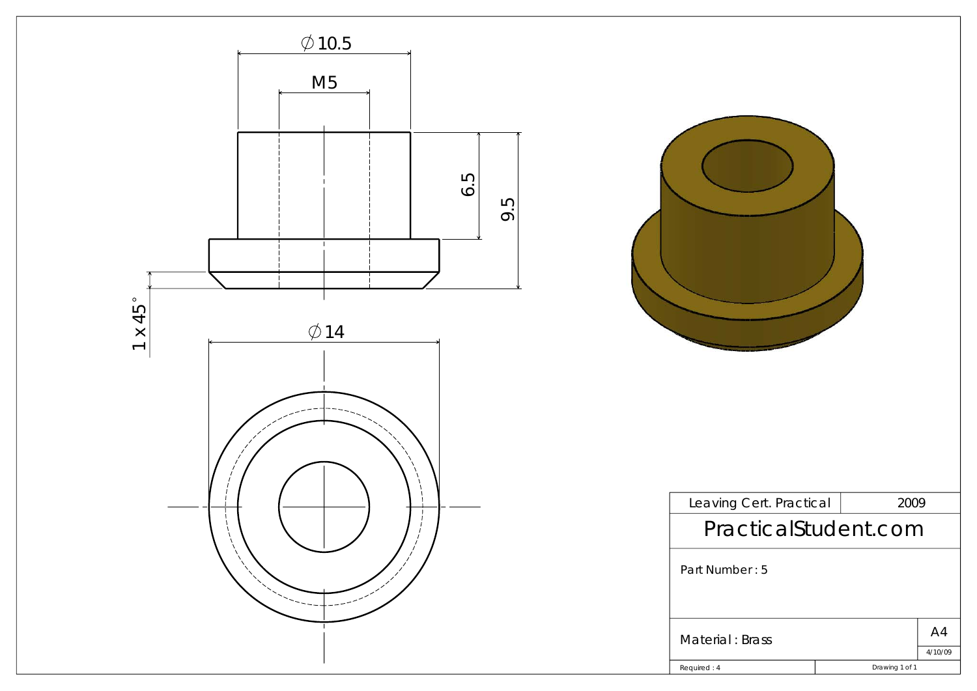